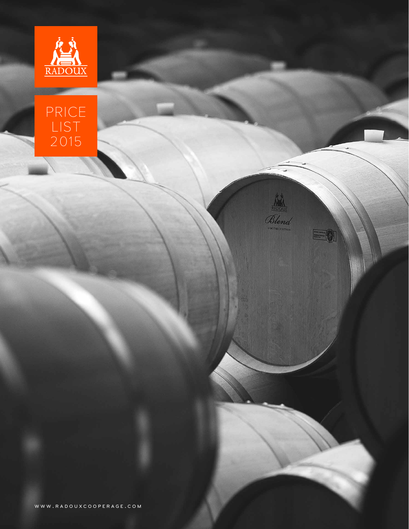



Blend

 $E(1)$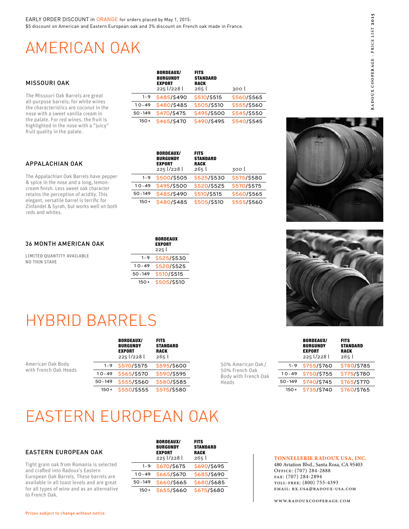## AMERICAN OAK

| MISSOURI OAK                                                                   |            | <b>BORDEAUX/</b><br><b>BURGUNDY</b><br><b>EXPORT</b><br>225 1/228 1 | <b>FITS</b><br><b>STANDARD</b><br><b>RACK</b><br>265 l | 300 l       |
|--------------------------------------------------------------------------------|------------|---------------------------------------------------------------------|--------------------------------------------------------|-------------|
| The Missouri Oak Barrels are great                                             | $1 - 9$    | \$485/\$490                                                         | \$510/\$515                                            | \$560/\$565 |
| all-purpose barrels; for white wines<br>the characteristics are coconut in the | $10 - 49$  | \$480/\$485                                                         | \$505/\$510                                            | \$555/\$560 |
| nose with a sweet vanilla cream in                                             | $50 - 149$ | \$470/\$475                                                         | \$495/\$500                                            | \$545/\$550 |
| the palate. For red wines, the fruit is                                        | $150+$     | \$465/\$470                                                         | \$490/\$495                                            | \$540/\$545 |

BORDEAUX/

## APPALACHIAN OAK

fruit quality in the palate.

highlighted in the nose with a "juicy"

The Appalachian Oak Barrels have pepper & spice in the nose and a long, lemoncream finish. Less sweet oak character retains the perception of acidity. This elegant, versatile barrel is terrific for Zinfandel & Syrah, but works well on both reds and whites.

|            | <b>BURGUNDY</b><br><b>EXPORT</b><br>225 l/228 l | <b>STANDARD</b><br><b>RACK</b><br>265l | 300 l       |
|------------|-------------------------------------------------|----------------------------------------|-------------|
| $1 - 9$    | \$500/\$505                                     | \$525/\$530                            | \$575/\$580 |
| $10 - 49$  | \$495/\$500                                     | \$520/\$525                            | \$570/\$575 |
| $50 - 149$ | \$485/\$490                                     | \$510/\$515                            | \$560/\$565 |
| $150+$     | \$480/\$485                                     | \$505/\$510                            | \$555/\$560 |

**FITS** 



## 36 MONTH AMERICAN OAK

LIMITED QUANTITY AVAILABLE NO THIN STAVE

|           | <b>BORDEAUX</b><br><b>EXPORT</b><br>225 l |
|-----------|-------------------------------------------|
| $1 - 9$   | \$525/\$530                               |
| $10 - 49$ | \$520/\$525                               |
| 50-149    | \$510/\$515                               |
| $150+$    | \$505/\$510                               |

# HYBRID BARRELS

|                                            |            | <b>BORDEAUX/</b><br><b>BURGUNDY</b><br><b>EXPORT</b><br>225 l/228 l | <b>FITS</b><br><b>STANDARD</b><br><b>RACK</b><br>265 l |
|--------------------------------------------|------------|---------------------------------------------------------------------|--------------------------------------------------------|
| American Oak Body<br>with French Oak Heads | $1 - 9$    | \$570/\$575                                                         | \$595/\$600                                            |
|                                            | $10 - 49$  | \$565/\$570                                                         | \$590/\$595                                            |
|                                            | $50 - 149$ | \$555/\$560                                                         | \$580/\$585                                            |
|                                            | $150+$     | \$550/\$555                                                         | \$575/\$580                                            |

50% American Oak / 50% French Oak Body with French Oak Heads

|            | <b>BURGUNDY</b><br><b>EXPORT</b><br>225 l/228 l | <b>STANDARD</b><br><b>RACK</b><br>265 l |
|------------|-------------------------------------------------|-----------------------------------------|
| $1 - 9$    | \$755/\$760                                     | \$780/\$785                             |
| $10 - 49$  | \$750/\$755                                     | \$775/\$780                             |
| $50 - 149$ | \$740/\$745                                     | \$765/\$770                             |
| $150+$     | \$735/\$740                                     | \$760/\$765                             |

**FITS** 

BORDEAUX/

## EASTERN EUROPEAN OAK

## EASTERN EUROPEAN OAK

Tight grain oak from Romania is selected and crafted into Radoux's Eastern European Oak Barrels. These barrels are available in all toast levels and are great for all types of wine and as an alternative to French Oak.

|            | <b>BORDEAUX/</b><br><b>BURGUNDY</b><br><b>EXPORT</b><br>225 l/228 l | <b>FITS</b><br>STANDARD<br><b>RACK</b><br>265 l |
|------------|---------------------------------------------------------------------|-------------------------------------------------|
| $1 - 9$    | \$670/\$675                                                         | \$690/\$695                                     |
| $10 - 49$  | \$665/\$670                                                         | \$685/\$690                                     |
| $50 - 149$ | \$660/\$665                                                         | \$680/\$685                                     |
| $150+$     | \$655/\$660                                                         | \$675/\$680                                     |

#### **TONNELLERIE RADOUX USA, INC.**

480 Aviation Blvd., Santa Rosa, CA 95403 Office: (707) 284-2888 fax: (707) 284-2894 toll-free: (800) 755-4393 email: rx.usa@radoux-usa.com

www.radouxcooperage.com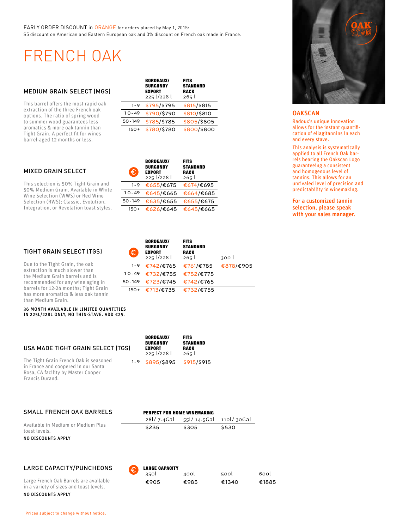EARLY ORDER DISCOUNT in ORANGE for orders placed by May 1, 2015: \$5 discount on American and Eastern European oak and 3% discount on French oak made in France.

> $\overline{a}$  $\overline{a}$

## FRENCH OAK

#### MEDIUM GRAIN SELECT (MGS)

This barrel offers the most rapid oak extraction of the three French oak options. The ratio of spring wood to summer wood guarantees less aromatics & more oak tannin than Tight Grain. A perfect fit for wines barrel-aged 12 months or less.

| MIXED GRAIN SELECT |  |
|--------------------|--|
|--------------------|--|

This selection is 50% Tight Grain and 50% Medium Grain. Available in White Wine Selection (WWS) or Red Wine Selection (RWS); Classic, Evolution, Integration, or Revelation toast styles.

|            | <b>BORDEAUX/</b><br><b>BURGUNDY</b><br><b>EXPORT</b><br>225 l/228 l | <b>FITS</b><br><b>STANDARD</b><br><b>RACK</b><br>265 l |
|------------|---------------------------------------------------------------------|--------------------------------------------------------|
| $1 - 9$    | \$795/\$795                                                         | \$815/\$815                                            |
| $10 - 49$  | \$790/\$790                                                         | \$810/\$810                                            |
| $50 - 149$ | \$785/\$785                                                         | \$805/\$805                                            |
| $150+$     | \$780/\$780                                                         | \$800/\$800                                            |

 $B = B = B + B$ 

| Đ          | <b>BORDEAUX/</b><br><b>BURGUNDY</b><br><b>EXPORT</b><br>225 l/228 l | <b>FITS</b><br><b>STANDARD</b><br><b>RACK</b><br>265l |
|------------|---------------------------------------------------------------------|-------------------------------------------------------|
| $1 - 9$    | €655/€675                                                           | €674/€695                                             |
| $10 - 49$  | €645/€665                                                           | €664/€685                                             |
| $50 - 149$ | €635/€655                                                           | €655/€675                                             |
| $150+$     | €626/€645                                                           | €645/€665                                             |

1 0-49 €732/€755 €752/€775 50- 149 €723/€745 €742/€765 150+ €713/€735 €732/€755

BORDEAUX/ BURGUNDY EXPORT 225 l/228 l

€

1 -9 €742/€765 €761/€785 €878/€905

300 l

**FITS STANDARD RACK**<br>265 l

## TIGHT GRAIN SELECT (TGS)

Due to the Tight Grain, the oak extraction is much slower than the Medium Grain barrels and is recommended for any wine aging in barrels for 12-24 months; Tight Grain has more aromatics & less oak tannin than Medium Grain.

Francis Durand.

36 MONTH AVAILABLE IN LIMITED QUANTITIES IN 225L/228L ONLY, NO THIN-STAVE. ADD €25.

| USA MADE TIGHT GRAIN SELECT (TGS)                                                                                   | <b>BORDEAUX/</b><br><b>BURGUNDY</b><br><b>EXPORT</b><br>225 1/228 l | <b>FITS</b><br><b>STANDARD</b><br><b>RACK</b><br>265l |
|---------------------------------------------------------------------------------------------------------------------|---------------------------------------------------------------------|-------------------------------------------------------|
| The Tight Grain French Oak is seasoned<br>in France and coopered in our Santa<br>Rosa, CA facility by Master Cooper | 1-9 \$895/\$895 \$915/\$915                                         |                                                       |

| SMALL FRENCH OAK BARRELS                            | <b>PERFECT FOR HOME WINEMAKING</b> |                                   |       |  |
|-----------------------------------------------------|------------------------------------|-----------------------------------|-------|--|
|                                                     |                                    | 28l/7.4Gal 55l/14.5Gal 110l/30Gal |       |  |
| Available in Medium or Medium Plus<br>toast levels. | \$235                              | \$305                             | \$530 |  |
| NO DISCOUNTS APPLY                                  |                                    |                                   |       |  |

## LARGE CAPACITY/PUNCHEONS

|                                         | 35OL | 400L | 500L  | 600L  |
|-----------------------------------------|------|------|-------|-------|
| Large French Oak Barrels are available  | €905 | €985 | €1340 | €1885 |
| in a variety of sizes and toast levels. |      |      |       |       |

**LARGE CAPACITY** 



#### **OAKSCAN**

Radoux's unique innovation allows for the instant quantification of ellagitannins in each and every stave.

This analysis is systematically applied to all French Oak barrels bearing the Oakscan Logo guaranteeing a consistent and homogenous level of tannins. This allows for an unrivaled level of precision and predictability in winemaking.

For a customized tannin selection, please speak with your sales manager.

NO DISCOUNTS APPLY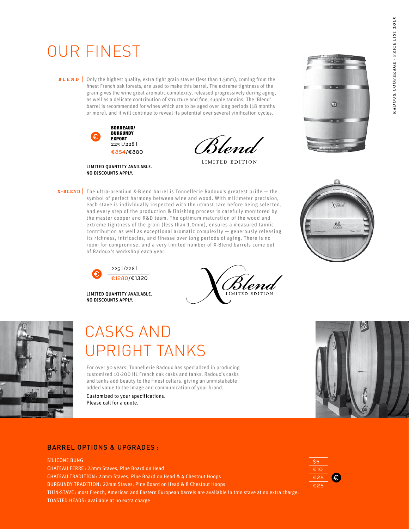# OUR FINEST

**BLEND** Only the highest quality, extra tight grain staves (less than 1.5mm), coming from the finest French oak forests, are used to make this barrel. The extreme tightness of the grain gives the wine great aromatic complexity, released progressively during aging, as well as a delicate contribution of structure and fine, supple tannins. The 'Blend' barrel is recommended for wines which are to be aged over long periods (18 months or more), and it will continue to reveal its potential over several vinification cycles.



Blend

LIMITED EDITION



LIMITED QUANTITY AVAILABLE. NO DISCOUNTS APPLY.





of Radoux's workshop each year.

LIMITED QUANTITY AVAILABLE. NO DISCOUNTS APPLY.





## CASKS AND UPRIGHT TANKS

For over 50 years, Tonnellerie Radoux has specialized in producing customized 10-200 HL French oak casks and tanks. Radoux's casks and tanks add beauty to the finest cellars, giving an unmistakable added value to the image and communication of your brand.

Customized to your specifications. Please call for a quote.



## BARREL OPTIONS & UPGRADES :

#### SILICONE BUNG

CHATEAU FERRE: 22mm Staves, Pine Board on Head CHATEAU TRADITION: 22mm Staves, Pine Board on Head & 4 Chestnut Hoops BURGUNDY TRADITION: 22mm Staves, Pine Board on Head & 8 Chestnut Hoops THIN-STAVE: most French, American and Eastern European barrels are available in thin stave at no extra charge. TOASTED HEADS: available at no extra charge

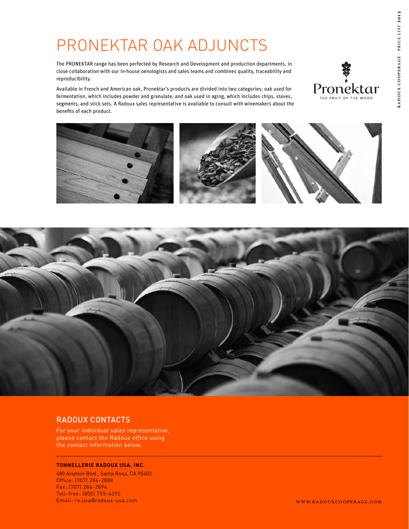# PRONEKTAR OAK ADJUNCTS

The PRONEKTAR range has been perfected by Research and Development and production departments, in close collaboration with our in-house oenologists and sales teams and combines quality, traceability and reproducibility.

Available in French and American oak, Pronektar's products are divided into two categories: oak used for fermentation, which includes powder and granulate; and oak used in aging, which includes chips, staves, segments, and stick sets. A Radoux sales representative is available to consult with winemakers about the benefits of each product.







## RADOUX CONTACTS

For your individual sales representative, please contact the Radoux office using the contact information below.

#### **TONNELLERIE RADOUX USA, INC.**

480 Aviation Blvd., Santa Rosa, CA 95403 Office: (707) 284-2888 Fax: (707) 284-2894 Toll-free: (800) 755-4393 Email: rx.usa@radoux-usa.com